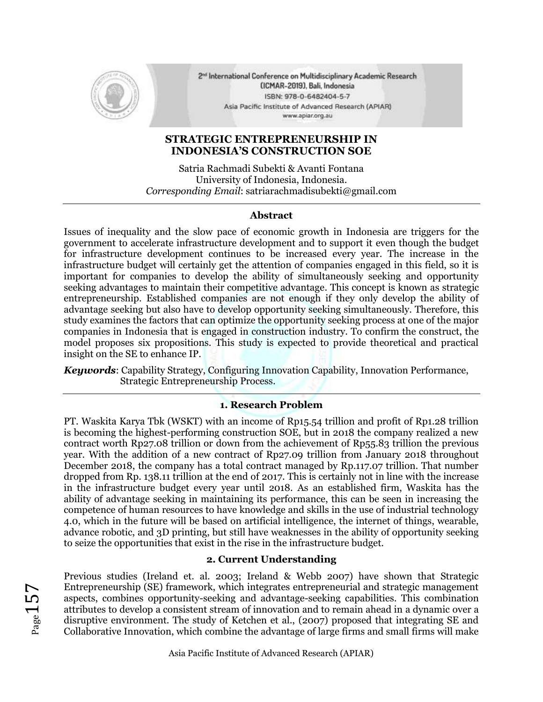

2<sup>nd</sup> International Conference on Multidisciplinary Academic Research (ICMAR-2019), Bali, Indonesia ISBN: 978-0-6482404-5-7 Asia Pacific Institute of Advanced Research (APIAR) www.apiar.org.au

# **STRATEGIC ENTREPRENEURSHIP IN INDONESIA'S CONSTRUCTION SOE**

Satria Rachmadi Subekti & Avanti Fontana University of Indonesia, Indonesia. *Corresponding Email*: satriarachmadisubekti@gmail.com

#### **Abstract**

Issues of inequality and the slow pace of economic growth in Indonesia are triggers for the government to accelerate infrastructure development and to support it even though the budget for infrastructure development continues to be increased every year. The increase in the infrastructure budget will certainly get the attention of companies engaged in this field, so it is important for companies to develop the ability of simultaneously seeking and opportunity seeking advantages to maintain their competitive advantage. This concept is known as strategic entrepreneurship. Established companies are not enough if they only develop the ability of advantage seeking but also have to develop opportunity seeking simultaneously. Therefore, this study examines the factors that can optimize the opportunity seeking process at one of the major companies in Indonesia that is engaged in construction industry. To confirm the construct, the model proposes six propositions. This study is expected to provide theoretical and practical insight on the SE to enhance IP.

*Keywords*: Capability Strategy, Configuring Innovation Capability, Innovation Performance, Strategic Entrepreneurship Process.

## **1. Research Problem**

PT. Waskita Karya Tbk (WSKT) with an income of Rp15.54 trillion and profit of Rp1.28 trillion is becoming the highest-performing construction SOE, but in 2018 the company realized a new contract worth Rp27.08 trillion or down from the achievement of Rp55.83 trillion the previous year. With the addition of a new contract of Rp27.09 trillion from January 2018 throughout December 2018, the company has a total contract managed by Rp.117.07 trillion. That number dropped from Rp. 138.11 trillion at the end of 2017. This is certainly not in line with the increase in the infrastructure budget every year until 2018. As an established firm, Waskita has the ability of advantage seeking in maintaining its performance, this can be seen in increasing the competence of human resources to have knowledge and skills in the use of industrial technology 4.0, which in the future will be based on artificial intelligence, the internet of things, wearable, advance robotic, and 3D printing, but still have weaknesses in the ability of opportunity seeking to seize the opportunities that exist in the rise in the infrastructure budget.

## **2. Current Understanding**

Previous studies (Ireland et. al. 2003; Ireland & Webb 2007) have shown that Strategic Entrepreneurship (SE) framework, which integrates entrepreneurial and strategic management aspects, combines opportunity-seeking and advantage-seeking capabilities. This combination attributes to develop a consistent stream of innovation and to remain ahead in a dynamic over a disruptive environment. The study of Ketchen et al., (2007) proposed that integrating SE and Collaborative Innovation, which combine the advantage of large firms and small firms will make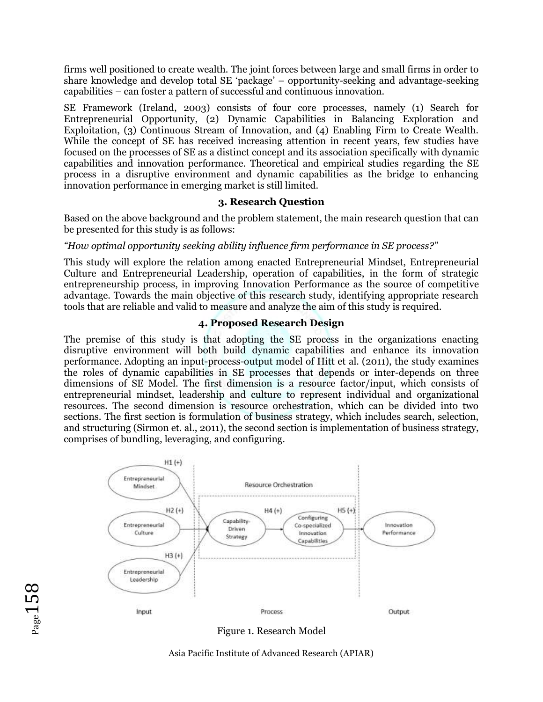firms well positioned to create wealth. The joint forces between large and small firms in order to share knowledge and develop total SE 'package' – opportunity-seeking and advantage-seeking capabilities – can foster a pattern of successful and continuous innovation.

SE Framework (Ireland, 2003) consists of four core processes, namely (1) Search for Entrepreneurial Opportunity, (2) Dynamic Capabilities in Balancing Exploration and Exploitation, (3) Continuous Stream of Innovation, and (4) Enabling Firm to Create Wealth. While the concept of SE has received increasing attention in recent years, few studies have focused on the processes of SE as a distinct concept and its association specifically with dynamic capabilities and innovation performance. Theoretical and empirical studies regarding the SE process in a disruptive environment and dynamic capabilities as the bridge to enhancing innovation performance in emerging market is still limited.

## **3. Research Question**

Based on the above background and the problem statement, the main research question that can be presented for this study is as follows:

## *"How optimal opportunity seeking ability influence firm performance in SE process?"*

This study will explore the relation among enacted Entrepreneurial Mindset, Entrepreneurial Culture and Entrepreneurial Leadership, operation of capabilities, in the form of strategic entrepreneurship process, in improving Innovation Performance as the source of competitive advantage. Towards the main objective of this research study, identifying appropriate research tools that are reliable and valid to measure and analyze the aim of this study is required.

#### **4. Proposed Research Design**

The premise of this study is that adopting the SE process in the organizations enacting disruptive environment will both build dynamic capabilities and enhance its innovation performance. Adopting an input-process-output model of Hitt et al. (2011), the study examines the roles of dynamic capabilities in SE processes that depends or inter-depends on three dimensions of SE Model. The first dimension is a resource factor/input, which consists of entrepreneurial mindset, leadership and culture to represent individual and organizational resources. The second dimension is resource orchestration, which can be divided into two sections. The first section is formulation of business strategy, which includes search, selection, and structuring (Sirmon et. al., 2011), the second section is implementation of business strategy, comprises of bundling, leveraging, and configuring.



Figure 1. Research Model

Asia Pacific Institute of Advanced Research (APIAR)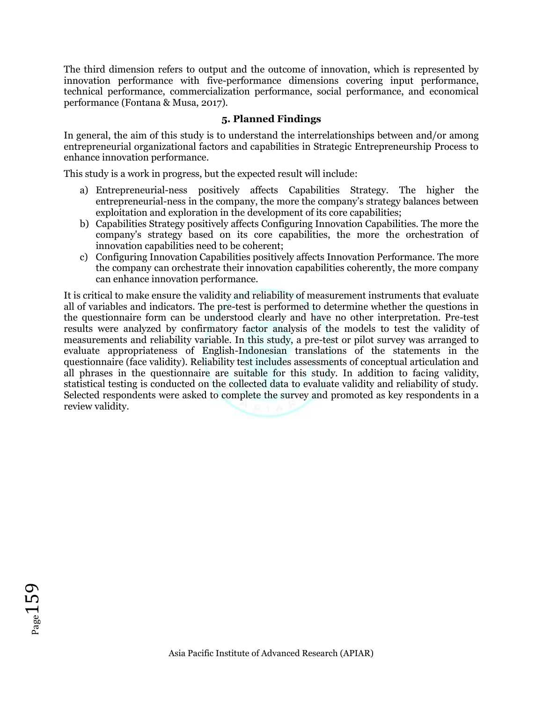The third dimension refers to output and the outcome of innovation, which is represented by innovation performance with five-performance dimensions covering input performance, technical performance, commercialization performance, social performance, and economical performance (Fontana & Musa, 2017).

## **5. Planned Findings**

In general, the aim of this study is to understand the interrelationships between and/or among entrepreneurial organizational factors and capabilities in Strategic Entrepreneurship Process to enhance innovation performance.

This study is a work in progress, but the expected result will include:

- a) Entrepreneurial-ness positively affects Capabilities Strategy. The higher the entrepreneurial-ness in the company, the more the company's strategy balances between exploitation and exploration in the development of its core capabilities;
- b) Capabilities Strategy positively affects Configuring Innovation Capabilities. The more the company's strategy based on its core capabilities, the more the orchestration of innovation capabilities need to be coherent;
- c) Configuring Innovation Capabilities positively affects Innovation Performance. The more the company can orchestrate their innovation capabilities coherently, the more company can enhance innovation performance.

It is critical to make ensure the validity and reliability of measurement instruments that evaluate all of variables and indicators. The pre-test is performed to determine whether the questions in the questionnaire form can be understood clearly and have no other interpretation. Pre-test results were analyzed by confirmatory factor analysis of the models to test the validity of measurements and reliability variable. In this study, a pre-test or pilot survey was arranged to evaluate appropriateness of English-Indonesian translations of the statements in the questionnaire (face validity). Reliability test includes assessments of conceptual articulation and all phrases in the questionnaire are suitable for this study. In addition to facing validity, statistical testing is conducted on the collected data to evaluate validity and reliability of study. Selected respondents were asked to complete the survey and promoted as key respondents in a review validity.